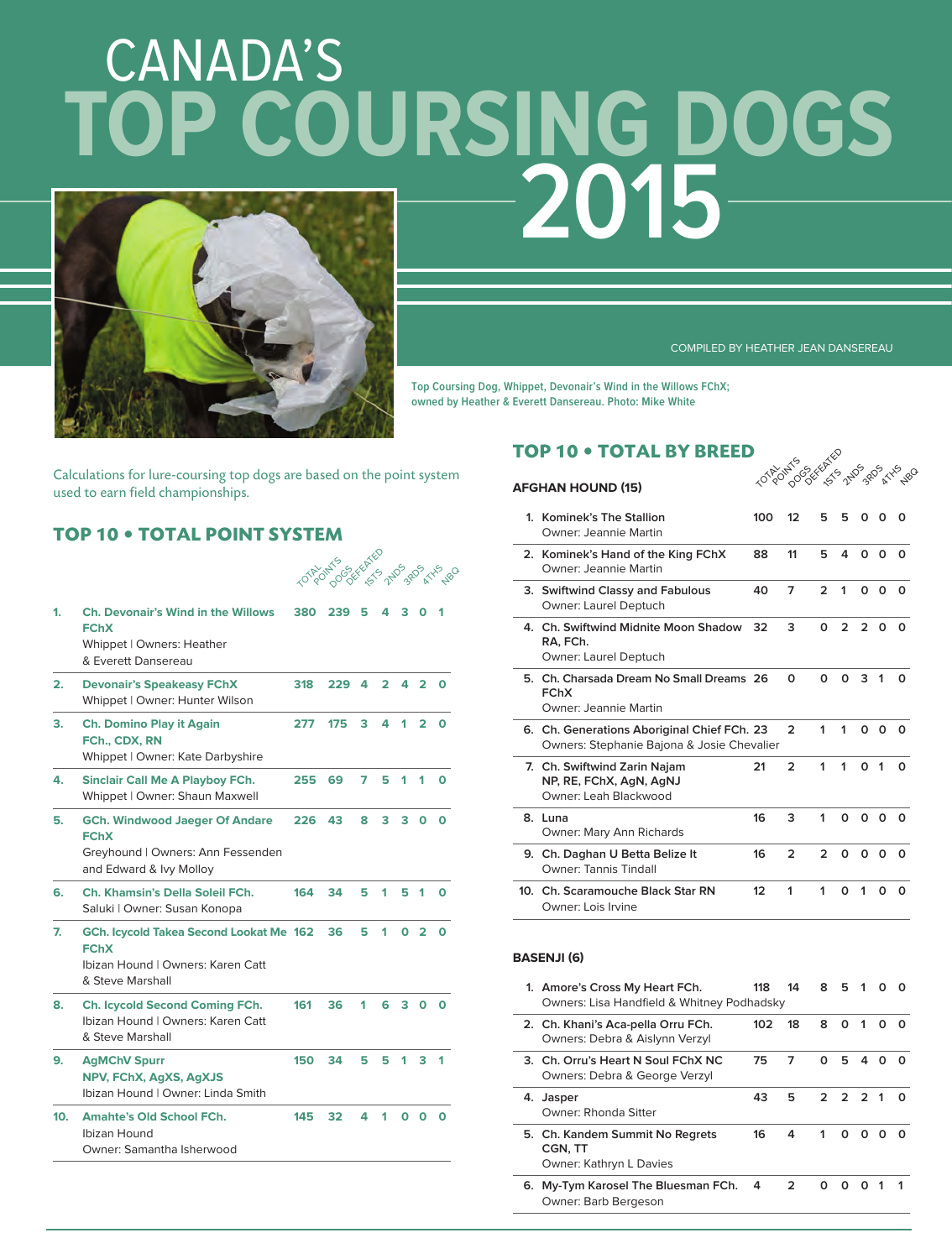# CANADA'S **2015 TOP COURSING DOGS**



COMPILED BY HEATHER JEAN DANSEREAU

LOTPOLICE SE DEFENSE RO

**Top Coursing Dog, Whippet, Devonair's Wind in the Willows FChX; owned by Heather & Everett Dansereau. Photo: Mike White**

Calculations for lure-coursing top dogs are based on the point system used to earn field championships.

# **TOP 10 • TOTAL POINT SYSTEM**

|                 |                                                                                                                      |     | 101801770 SEREEFE |   |   |   |                |   |
|-----------------|----------------------------------------------------------------------------------------------------------------------|-----|-------------------|---|---|---|----------------|---|
| 1.              | Ch. Devonair's Wind in the Willows<br><b>FChX</b><br>Whippet   Owners: Heather<br>& Everett Dansereau                | 380 | 239               | 5 |   |   |                |   |
| 2.              | <b>Devonair's Speakeasy FChX</b><br>Whippet   Owner: Hunter Wilson                                                   | 318 | 229               | 4 | 2 | 4 | 2              | ი |
| 3.              | <b>Ch. Domino Play it Again</b><br>FCh., CDX, RN<br>Whippet   Owner: Kate Darbyshire                                 | 277 | 175               | 3 | 4 | 1 | 2              |   |
| 4.              | <b>Sinclair Call Me A Playboy FCh.</b><br>Whippet   Owner: Shaun Maxwell                                             | 255 | 69                | 7 | 5 | 1 | 1              |   |
| 5.              | <b>GCh. Windwood Jaeger Of Andare</b><br><b>FChX</b><br>Greyhound   Owners: Ann Fessenden<br>and Edward & Ivy Molloy | 226 | 43                | 8 | 3 | з | 0              | o |
| 6.              | Ch. Khamsin's Della Soleil FCh.<br>Saluki   Owner: Susan Konopa                                                      | 164 | 34                | 5 | 1 | 5 | 1              |   |
| 7.              | GCh. Icycold Takea Second Lookat Me 162<br><b>FChX</b><br>Ibizan Hound   Owners: Karen Catt<br>& Steve Marshall      |     | 36                | 5 | 1 | O | $\overline{2}$ | ი |
| 8.              | Ch. Icycold Second Coming FCh.<br>Ibizan Hound   Owners: Karen Catt<br>& Steve Marshall                              | 161 | 36                | 1 | 6 | з | Ο              | n |
| 9.              | <b>AgMChV Spurr</b><br>NPV, FChX, AgXS, AgXJS<br>Ibizan Hound   Owner: Linda Smith                                   | 150 | 34                | 5 | 5 | 1 | 3              | 1 |
| 10 <sub>1</sub> | <b>Amahte's Old School FCh.</b><br>Ibizan Hound<br>Owner: Samantha Isherwood                                         | 145 | 32                | 4 |   | O | O              |   |

# **TOP 10 • TOTAL BY BREED**

# **AFGHAN HOUND (15)**

|    | 1. Kominek's The Stallion<br>Owner: Jeannie Martin                                        | 100 | 12            | 5              | 5             | O             |             |   |
|----|-------------------------------------------------------------------------------------------|-----|---------------|----------------|---------------|---------------|-------------|---|
|    | 2. Kominek's Hand of the King FChX<br>Owner: Jeannie Martin                               | 88  | 11            | 5              | 4             | $\Omega$      | O           | O |
|    | 3. Swiftwind Classy and Fabulous<br>Owner: Laurel Deptuch                                 | 40  | 7             | $\mathfrak{p}$ | 1             | $\Omega$      | 0           | O |
|    | 4. Ch. Swiftwind Midnite Moon Shadow<br>RA, FCh.<br>Owner: Laurel Deptuch                 | 32  | 3             | O              | $\mathcal{P}$ | $\mathcal{P}$ | O           | O |
| 5. | Ch. Charsada Dream No Small Dreams 26<br><b>FChX</b><br>Owner: Jeannie Martin             |     | O             | O              | ŋ             | 3             | 1           | O |
|    | 6. Ch. Generations Aboriginal Chief FCh. 23<br>Owners: Stephanie Bajona & Josie Chevalier |     | $\mathcal{P}$ | 1              | 1             | $\Omega$      | O           | O |
|    | 7. Ch. Swiftwind Zarin Najam<br>NP, RE, FChX, AgN, AgNJ<br>Owner: Leah Blackwood          | 21  | $\mathcal{P}$ | 1              | 1             | O             | $\mathbf 1$ |   |
|    | 8. Luna<br>Owner: Mary Ann Richards                                                       | 16  | 3             | 1              | O             | O             | O           | O |
|    | 9. Ch. Daghan U Betta Belize It<br><b>Owner: Tannis Tindall</b>                           | 16  | $\mathcal{P}$ | $\mathcal{P}$  | $\Omega$      | $\Omega$      | O           | O |
|    | 10. Ch. Scaramouche Black Star RN<br>Owner: Lois Irvine                                   | 12  | 1             | 1              | ი             | 1             | O           | O |

### **BASENJI (6)**

| 1. Amore's Cross My Heart FCh.<br>Owners: Lisa Handfield & Whitney Podhadsky | 118 | 14 | 8 | 5.           | 1 |   |              |
|------------------------------------------------------------------------------|-----|----|---|--------------|---|---|--------------|
| 2. Ch. Khani's Aca-pella Orru FCh.<br>Owners: Debra & Aislynn Verzyl         | 102 | 18 | 8 | <sup>o</sup> | 1 | O | <sup>0</sup> |
| 3. Ch. Orru's Heart N Soul FChX NC<br>Owners: Debra & George Verzyl          | 75  | 7  | O | 5            | 4 | O | n            |
| 4. Jasper<br>Owner: Rhonda Sitter                                            | 43  | 5  |   | 2 2 2 1      |   |   | റ            |
| 5. Ch. Kandem Summit No Regrets<br>CGN. TT<br>Owner: Kathryn L Davies        | 16  | 4  | 1 | <sup>o</sup> | 0 | O | <sup>0</sup> |
| 6. My-Tym Karosel The Bluesman FCh.<br>Owner: Barb Bergeson                  | 4   | 2  | O | n            | O |   |              |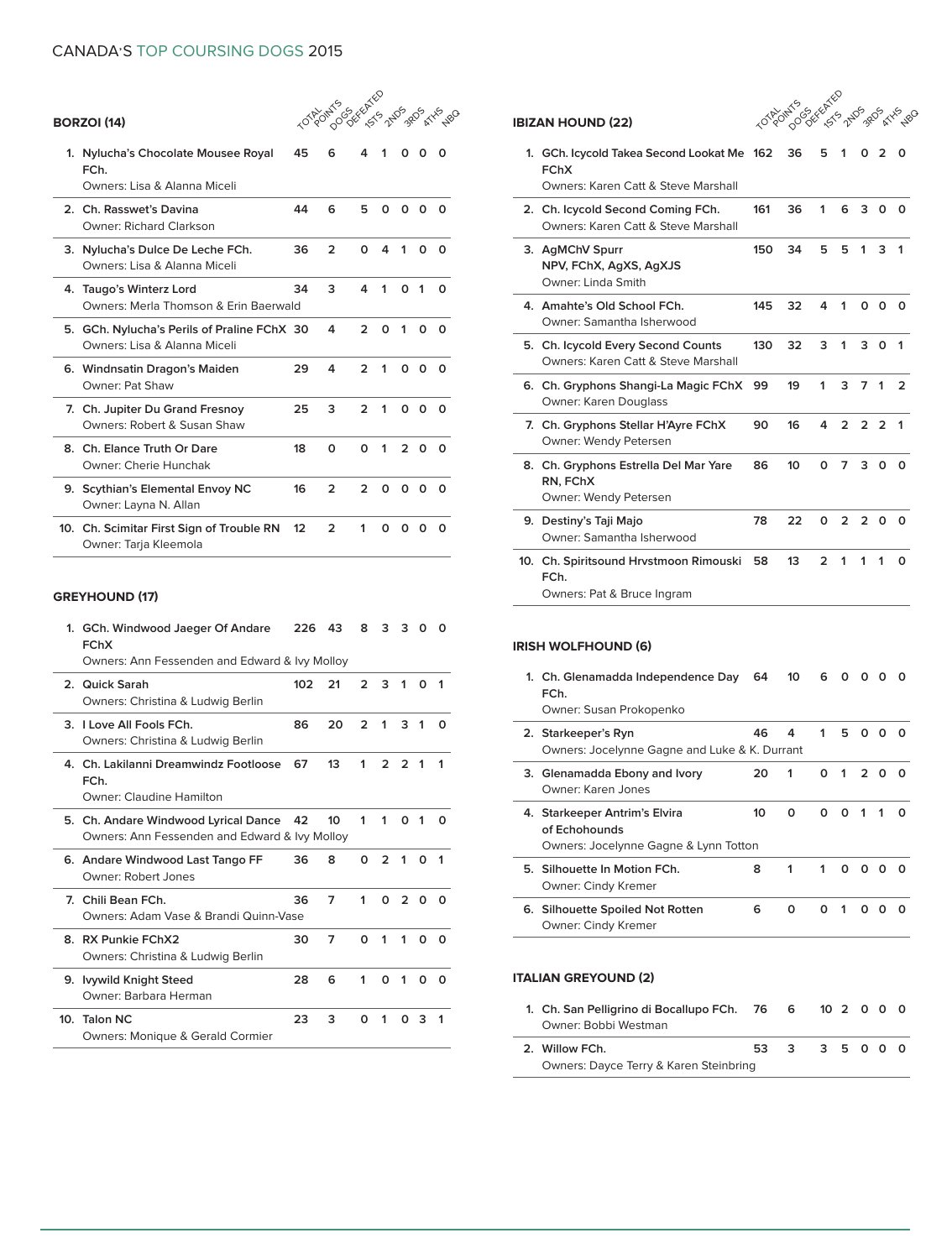# CANADA'S TOP COURSING DOGS 2015

10 POINTS 2ND 380 RXX 280

| 1. | Nylucha's Chocolate Mousee Royal<br>FCh.<br>Owners: Lisa & Alanna Miceli    | 45 | 6              | 4             | 1 |               |              |   |
|----|-----------------------------------------------------------------------------|----|----------------|---------------|---|---------------|--------------|---|
|    | 2. Ch. Rasswet's Davina<br>Owner: Richard Clarkson                          | 44 | 6              | 5             | 0 | 0             | O            |   |
|    | 3. Nylucha's Dulce De Leche FCh.<br>Owners: Lisa & Alanna Miceli            | 36 | $\mathcal{P}$  | ŋ             | Δ | 1             |              |   |
|    | 4. Taugo's Winterz Lord<br>Owners: Merla Thomson & Frin Baerwald            | 34 | 3              | 4             | 1 | O             | 1            | ი |
|    | 5. GCh. Nylucha's Perils of Praline FChX 30<br>Owners: Lisa & Alanna Miceli |    | 4              | っ             | C | 1             | O            |   |
|    | 6. Windnsatin Dragon's Maiden<br>Owner: Pat Shaw                            | 29 | 4              | $\mathcal{P}$ | 1 | 0             | O            | O |
|    | 7. Ch. Jupiter Du Grand Fresnoy<br>Owners: Robert & Susan Shaw              | 25 | 3              | 2             | 1 | O             | O            | ი |
|    | 8. Ch. Elance Truth Or Dare<br>Owner: Cherie Hunchak                        | 18 | $\Omega$       | ŋ             | 1 | $\mathcal{P}$ | <sup>o</sup> | O |
|    | 9. Scythian's Elemental Envoy NC<br>Owner: Layna N. Allan                   | 16 | $\mathfrak{p}$ | 2             | n | ი             | o            | o |

**10. Ch. Scimitar First Sign of Trouble RN 12 2 1 0 0 0 0** Owner: Tarja Kleemola

# **GREYHOUND (17)**

**BORZOI (14)** 

|                 | 1. GCh. Windwood Jaeger Of Andare<br><b>FChX</b><br>Owners: Ann Fessenden and Edward & Ivy Molloy | 226 | 43              | 8             | 3             | 3             | $\Omega$ | $\Omega$ |
|-----------------|---------------------------------------------------------------------------------------------------|-----|-----------------|---------------|---------------|---------------|----------|----------|
|                 | 2. Quick Sarah<br>Owners: Christina & Ludwig Berlin                                               | 102 | 21              | $\mathcal{P}$ | 3             | 1             |          | 1        |
|                 | 3. Love All Fools FCh.<br>Owners: Christina & Ludwig Berlin                                       | 86  | 20              | $\mathcal{P}$ | 1             | 3             | 1        | O        |
|                 | 4. Ch. Lakilanni Dreamwindz Footloose<br>FCh.<br>Owner: Claudine Hamilton                         | 67  | 13              | 1             | $\mathcal{P}$ | 2             |          | 1        |
|                 | 5. Ch. Andare Windwood Lyrical Dance<br>Owners: Ann Fessenden and Edward & Ivy Molloy             | 42  | 10 <sup>2</sup> | 1             | 1             | O             | 1        |          |
|                 | 6. Andare Windwood Last Tango FF<br>Owner: Robert Jones                                           | 36  | 8               | $\Omega$      | $\mathcal{P}$ | 1             | O        | 1        |
|                 | 7. Chili Bean FCh.<br>Owners: Adam Vase & Brandi Quinn-Vase                                       | 36  | 7               | 1             | $\Omega$      | $\mathcal{P}$ | $\Omega$ | O        |
|                 | 8. RX Punkie FChX2<br>Owners: Christina & Ludwig Berlin                                           | 30  | 7               | $\Omega$      | 1             | 1             | $\Omega$ | $\Omega$ |
|                 | 9. Ivywild Knight Steed<br>Owner: Barbara Herman                                                  | 28  | 6               | 1             | $\Omega$      | 1             | 0        | $\Omega$ |
| 10 <sub>1</sub> | <b>Talon NC</b><br>Owners: Monique & Gerald Cormier                                               | 23  | 3               | ი             | 1             | O             | 3        | 1        |

# **IBIZAN HOUND (22)**

LOTAL CSKKAS<br>2019 POINTS 2019 RDS KYS 20

| 1. GCh. Icycold Takea Second Lookat Me 162<br><b>FChX</b><br>Owners: Karen Catt & Steve Marshall |     | 36 | 5              | 1              | O.             | 2           | o             |
|--------------------------------------------------------------------------------------------------|-----|----|----------------|----------------|----------------|-------------|---------------|
| 2. Ch. Icycold Second Coming FCh.<br>Owners: Karen Catt & Steve Marshall                         | 161 | 36 | 1              | 6              | $\mathbf{3}$   | 0           | Ω             |
| 3. AgMChV Spurr<br>NPV, FChX, AgXS, AgXJS<br>Owner: Linda Smith                                  | 150 | 34 | 5              | 5              | 1              | 3           | 1             |
| 4. Amahte's Old School FCh.<br>Owner: Samantha Isherwood                                         | 145 | 32 | 4              | 1              | $\Omega$       | Ω           | Ω             |
| 5. Ch. Icycold Every Second Counts<br>Owners: Karen Catt & Steve Marshall                        | 130 | 32 | 3              | 1              | $\mathbf{3}$   | O           | 1             |
| 6. Ch. Gryphons Shangi-La Magic FChX<br>Owner: Karen Douglass                                    | 99  | 19 | 1              | 3              | $\mathbf{7}$   | $\mathbf 1$ | $\mathcal{P}$ |
| 7. Ch. Gryphons Stellar H'Ayre FChX<br>Owner: Wendy Petersen                                     | 90  | 16 | 4              | $\overline{2}$ | 2 <sub>2</sub> |             | 1             |
| 8. Ch. Gryphons Estrella Del Mar Yare<br>RN, FChX<br>Owner: Wendy Petersen                       | 86  | 10 | O              | 7              | 3              | $\Omega$    | O             |
| 9. Destiny's Taji Majo<br>Owner: Samantha Isherwood                                              | 78  | 22 | O              | $\mathcal{P}$  | $\mathfrak{p}$ | Ω           | Ω             |
| 10. Ch. Spiritsound Hrvstmoon Rimouski<br>FCh.<br>Owners: Pat & Bruce Ingram                     | 58  | 13 | $\overline{2}$ | 1              | 1              | 1           | 0             |

### **IRISH WOLFHOUND (6)**

| 1. Ch. Glenamadda Independence Day<br>FCh.<br>Owner: Susan Prokopenko                   | 64 | 10 | 6 | O            |               |   | O |
|-----------------------------------------------------------------------------------------|----|----|---|--------------|---------------|---|---|
| 2. Starkeeper's Ryn<br>Owners: Jocelynne Gagne and Luke & K. Durrant                    | 46 | 4  | 1 | 5            | O             |   |   |
| 3. Glenamadda Ebony and Ivory<br>Owner Karen Jones                                      | 20 | 1  | 0 | 1            | $\mathcal{L}$ | o | O |
| 4. Starkeeper Antrim's Elvira<br>of Echohounds<br>Owners: Jocelynne Gagne & Lynn Totton | 10 | O  | O | ŋ            | 1             | 1 | O |
| 5. Silhouette In Motion FCh.<br>Owner: Cindy Kremer                                     | 8  | 1  | 1 | <sup>o</sup> | $\Omega$      | O | O |
| 6. Silhouette Spoiled Not Rotten<br>Owner: Cindy Kremer                                 | 6  | ŋ  | o | 1            | o             |   |   |

## **ITALIAN GREYOUND (2)**

| 1. Ch. San Pelligrino di Bocallupo FCh. 76 | - 6  | 10 2 0 0 0 |  |  |
|--------------------------------------------|------|------------|--|--|
| Owner: Bobbi Westman                       |      |            |  |  |
|                                            |      |            |  |  |
| 2. Willow FCh.                             | 53 3 | 35000      |  |  |